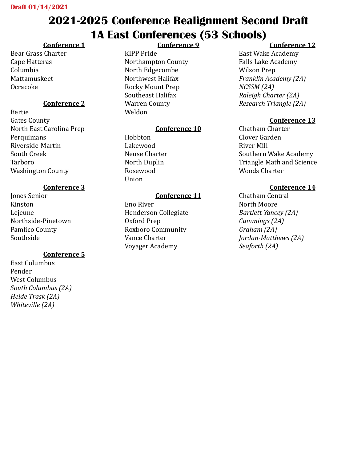# **2021-2025 Conference Realignment Second Draft 1A East Conferences (53 Schools)**

## **Conference 1**

Bear Grass Charter Cape Hatteras Columbia Mattamuskeet Ocracoke

## **Conference 2**

Bertie Gates County North East Carolina Prep Perquimans Riverside-Martin South Creek Tarboro Washington County

## **Conference 3**

Jones Senior Kinston Lejeune Northside-Pinetown Pamlico County Southside

## **Conference 5**

East Columbus Pender West Columbus *South Columbus (2A) Heide Trask (2A) Whiteville (2A)* 

## **Conference 9**

KIPP Pride Northampton County North Edgecombe Northwest Halifax Rocky Mount Prep Southeast Halifax Warren County Weldon

## **Conference 10**

Hobbton Lakewood Neuse Charter North Duplin Rosewood Union

## **Conference 11**

Eno River Henderson Collegiate Oxford Prep Roxboro Community Vance Charter Voyager Academy

## **Conference 12**

East Wake Academy Falls Lake Academy Wilson Prep *Franklin Academy (2A) NCSSM (2A) Raleigh Charter (2A) Research Triangle (2A)* 

## **Conference 13**

Chatham Charter Clover Garden River Mill Southern Wake Academy Triangle Math and Science Woods Charter

## **Conference 14**

Chatham Central North Moore *Bartlett Yancey (2A) Cummings (2A) Graham (2A) Jordan-Matthews (2A) Seaforth (2A)*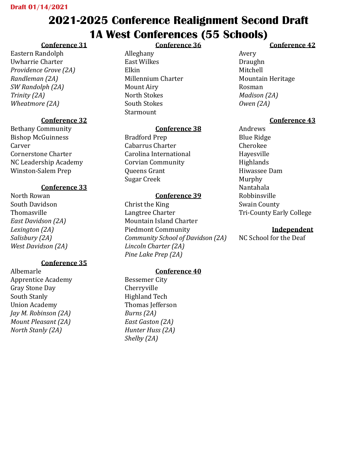## **2021-2025 Conference Realignment Second Draft 1A West Conferences (55 Schools) Conference 36**

## **Conference 31**

Eastern Randolph Uwharrie Charter *Providence Grove (2A) Randleman (2A) SW Randolph (2A) Trinity (2A) Wheatmore (2A)*

### **Conference 32**

Bethany Community Bishop McGuinness **Carver** Cornerstone Charter NC Leadership Academy Winston-Salem Prep

#### **Conference 33**

North Rowan South Davidson Thomasville *East Davidson (2A) Lexington (2A) Salisbury (2A) West Davidson (2A)*

#### **Conference 35**

Albemarle Apprentice Academy Gray Stone Day South Stanly Union Academy *Jay M. Robinson (2A) Mount Pleasant (2A) North Stanly (2A)*

Alleghany East Wilkes Elkin Millennium Charter Mount Airy North Stokes South Stokes **Starmount** 

### **Conference 38**

Bradford Prep Cabarrus Charter Carolina International Corvian Community Queens Grant Sugar Creek

#### **Conference 39**

Christ the King Langtree Charter Mountain Island Charter Piedmont Community *Community School of Davidson (2A) Lincoln Charter (2A) Pine Lake Prep (2A)*

## **Conference 40**

Bessemer City Cherryville Highland Tech Thomas Jefferson *Burns (2A) East Gaston (2A) Hunter Huss (2A) Shelby (2A)*

## **Conference 42**

Avery Draughn Mitchell Mountain Heritage Rosman *Madison (2A) Owen (2A)*

## **Conference 43**

Andrews Blue Ridge Cherokee Hayesville **Highlands** Hiwassee Dam Murphy Nantahala Robbinsville Swain County Tri-County Early College

#### **Independent**

NC School for the Deaf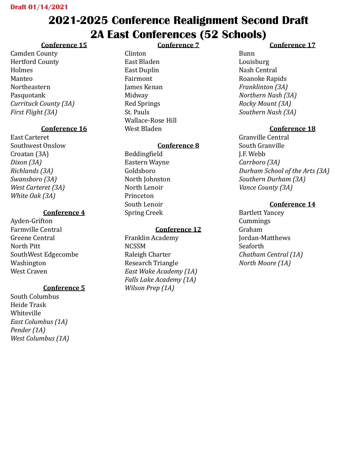## **2021-2025 Conference Realignment Second Draft 2A East Conferences (52 Schools)**

#### **Conference 15**

Camden County Hertford County Holmes Manteo Northeastern Pasquotank *Currituck County (3A) First Flight (3A)*

#### **Conference 16**

East Carteret Southwest Onslow Croatan (3A) *Dixon (3A) Richlands (3A) Swansboro (3A) West Carteret (3A) White Oak (3A)*

#### **Conference 4**

Ayden-Grifton Farmville Central Greene Central North Pitt SouthWest Edgecombe Washington West Craven

#### **Conference 5**

South Columbus Heide Trask Whiteville *East Columbus (1A) Pender (1A) West Columbus (1A)*

#### **Conference 7**

Clinton East Bladen East Duplin Fairmont James Kenan Midway Red Springs St. Pauls Wallace-Rose Hill West Bladen

#### **Conference 8**

Beddingfield Eastern Wayne Goldsboro North Johnston North Lenoir Princeton South Lenoir Spring Creek

#### **Conference 12**

Franklin Academy NCSSM Raleigh Charter Research Triangle *East Wake Academy (1A) Falls Lake Academy (1A) Wilson Prep (1A)*

#### **Conference 17**

Bunn Louisburg Nash Central Roanoke Rapids *Franklinton (3A) Northern Nash (3A) Rocky Mount (3A) Southern Nash (3A)*

#### **Conference 18**

Granville Central South Granville J.F. Webb *Carrboro (3A) Durham School of the Arts (3A) Southern Durham (3A) Vance County (3A)*

#### **Conference 14**

Bartlett Yancey Cummings Graham Jordan-Matthews Seaforth *Chatham Central (1A) North Moore (1A)*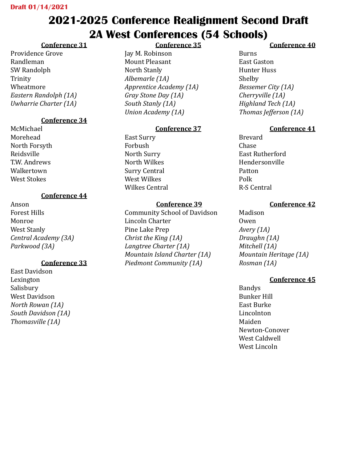# **2021-2025 Conference Realignment Second Draft 2A West Conferences (54 Schools)**

## **Conference 31**

Providence Grove Randleman SW Randolph Trinity Wheatmore *Eastern Randolph (1A) Uwharrie Charter (1A)*

## **Conference 34**

McMichael Morehead North Forsyth Reidsville T.W. Andrews Walkertown West Stokes

## **Conference 44**

Anson Forest Hills Monroe West Stanly *Central Academy (3A) Parkwood (3A)*

## **Conference 33**

East Davidson Lexington Salisbury West Davidson *North Rowan (1A) South Davidson (1A) Thomasville (1A)*

**Conference 35** Jay M. Robinson Mount Pleasant North Stanly *Albemarle (1A) Apprentice Academy (1A) Gray Stone Day (1A) South Stanly (1A) Union Academy (1A)*

## **Conference 37**

East Surry Forbush North Surry North Wilkes Surry Central West Wilkes Wilkes Central

## **Conference 39**

Community School of Davidson Lincoln Charter Pine Lake Prep *Christ the King (1A) Langtree Charter (1A) Mountain Island Charter (1A) Piedmont Community (1A)*

## **Conference 40**

Burns East Gaston Hunter Huss Shelby *Bessemer City (1A) Cherryville (1A) Highland Tech (1A) Thomas Jefferson (1A)*

## **Conference 41**

Brevard Chase East Rutherford Hendersonville Patton Polk R-S Central

## **Conference 42**

Madison Owen *Avery (1A) Draughn (1A) Mitchell (1A) Mountain Heritage (1A) Rosman (1A)*

## **Conference 45**

Bandys Bunker Hill East Burke Lincolnton Maiden Newton-Conover West Caldwell West Lincoln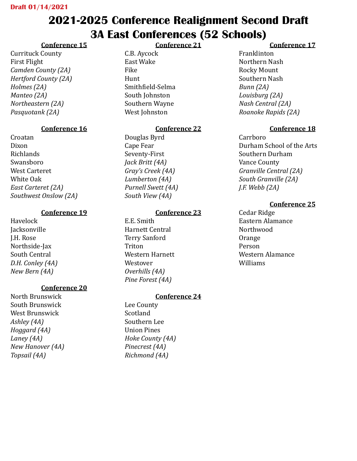## **2021-2025 Conference Realignment Second Draft 3A East Conferences (52 Schools)**

**Conference 21**

#### **Conference 15**

Currituck County First Flight *Camden County (2A) Hertford County (2A) Holmes (2A) Manteo (2A) Northeastern (2A) Pasquotank (2A)*

#### **Conference 16**

Croatan Dixon Richlands Swansboro West Carteret White Oak *East Carteret (2A) Southwest Onslow (2A)*

#### **Conference 19**

Havelock **Jacksonville** J.H. Rose Northside-Jax South Central *D.H. Conley (4A) New Bern (4A)*

#### **Conference 20**

North Brunswick South Brunswick West Brunswick *Ashley (4A) Hoggard (4A) Laney (4A) New Hanover (4A) Topsail (4A)*

C.B. Aycock East Wake Fike Hunt Smithfield-Selma South Johnston Southern Wayne West Johnston

#### **Conference 22**

Douglas Byrd Cape Fear Seventy-First *Jack Britt (4A) Gray's Creek (4A) Lumberton (4A) Purnell Swett (4A) South View (4A)*

#### **Conference 23**

E.E. Smith Harnett Central Terry Sanford Triton Western Harnett Westover *Overhills (4A) Pine Forest (4A)*

#### **Conference 24**

Lee County Scotland Southern Lee Union Pines *Hoke County (4A) Pinecrest (4A) Richmond (4A)*

#### **Conference 17**

Franklinton Northern Nash Rocky Mount Southern Nash *Bunn (2A) Louisburg (2A) Nash Central (2A) Roanoke Rapids (2A)*

#### **Conference 18**

Carrboro Durham School of the Arts Southern Durham Vance County *Granville Central (2A) South Granville (2A) J.F. Webb (2A)*

#### **Conference 25**

Cedar Ridge Eastern Alamance Northwood Orange Person Western Alamance Williams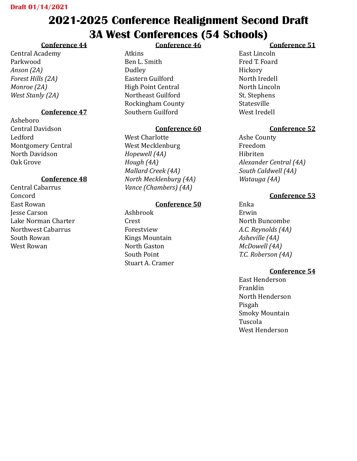# **2021-2025 Conference Realignment Second Draft 3A West Conferences (54 Schools)**

## **Conference 44**

Central Academy Parkwood *Anson (2A) Forest Hills (2A) Monroe (2A) West Stanly (2A)*

### **Conference 47**

Asheboro Central Davidson Ledford Montgomery Central North Davidson Oak Grove

#### **Conference 48**

Central Cabarrus Concord East Rowan Jesse Carson Lake Norman Charter Northwest Cabarrus South Rowan West Rowan

#### **Conference 46**

Atkins Ben L. Smith Dudley Eastern Guilford High Point Central Northeast Guilford Rockingham County Southern Guilford

#### **Conference 60**

West Charlotte West Mecklenburg *Hopewell (4A) Hough (4A) Mallard Creek (4A) North Mecklenburg (4A) Vance (Chambers) (4A)*

#### **Conference 50**

Ashbrook Crest Forestview Kings Mountain North Gaston South Point Stuart A. Cramer

#### **Conference 51**

East Lincoln Fred T. Foard Hickory North Iredell North Lincoln St. Stephens Statesville West Iredell

#### **Conference 52**

Ashe County Freedom Hibriten *Alexander Central (4A) South Caldwell (4A) Watauga (4A)*

#### **Conference 53**

Enka Erwin North Buncombe *A.C. Reynolds (4A) Asheville (4A) McDowell (4A) T.C. Roberson (4A)*

#### **Conference 54**

East Henderson Franklin North Henderson Pisgah Smoky Mountain Tuscola West Henderson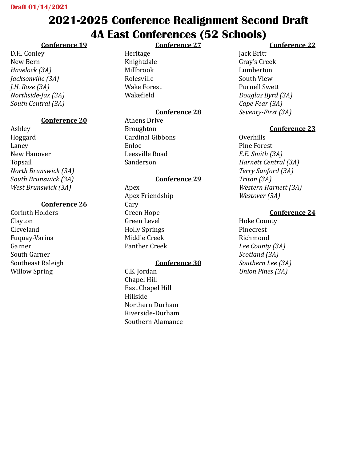## **2021-2025 Conference Realignment Second Draft 4A East Conferences (52 Schools) Conference 27**

## **Conference 19**

D.H. Conley New Bern *Havelock (3A) Jacksonville (3A) J.H. Rose (3A) Northside-Jax (3A) South Central (3A)*

## **Conference 20**

Ashley Hoggard Laney New Hanover Topsail *North Brunswick (3A) South Brunswick (3A) West Brunswick (3A)*

## **Conference 26**

Corinth Holders Clayton Cleveland Fuquay-Varina Garner South Garner Southeast Raleigh Willow Spring

Heritage Knightdale Millbrook Rolesville Wake Forest Wakefield

## **Conference 28**

Athens Drive Broughton Cardinal Gibbons Enloe Leesville Road Sanderson

## **Conference 29**

Apex Apex Friendship Cary Green Hope Green Level Holly Springs Middle Creek Panther Creek

#### **Conference 30**

C.E. Jordan Chapel Hill East Chapel Hill Hillside Northern Durham Riverside-Durham Southern Alamance

#### **Conference 22**

Jack Britt Gray's Creek Lumberton South View Purnell Swett *Douglas Byrd (3A) Cape Fear (3A) Seventy-First (3A)*

#### **Conference 23**

Overhills Pine Forest *E.E. Smith (3A) Harnett Central (3A) Terry Sanford (3A) Triton (3A) Western Harnett (3A) Westover (3A)*

#### **Conference 24**

Hoke County Pinecrest Richmond *Lee County (3A) Scotland (3A) Southern Lee (3A) Union Pines (3A)*